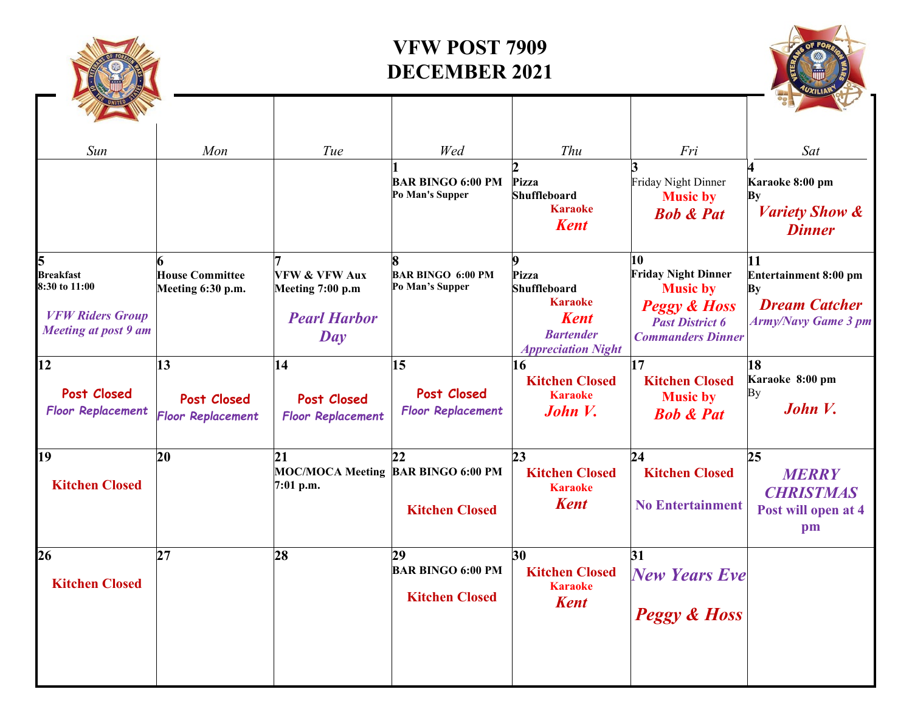

## **VFW POST 7909 DECEMBER 2021**

| Sun                                                                                         | Mon                                           | Tue                                                                                                                 | Wed                                                     | Thu                                                                                                                 | Fri                                                                                                                                  | Sat                                                                                     |
|---------------------------------------------------------------------------------------------|-----------------------------------------------|---------------------------------------------------------------------------------------------------------------------|---------------------------------------------------------|---------------------------------------------------------------------------------------------------------------------|--------------------------------------------------------------------------------------------------------------------------------------|-----------------------------------------------------------------------------------------|
|                                                                                             |                                               |                                                                                                                     | <b>BAR BINGO 6:00 PM</b><br>Po Man's Supper             | <b>Pizza</b><br><b>Shuffleboard</b><br><b>Karaoke</b><br><b>Kent</b>                                                | Friday Night Dinner<br><b>Music by</b><br><b>Bob &amp; Pat</b>                                                                       | Karaoke 8:00 pm<br>Вy<br><b>Variety Show &amp;</b><br><b>Dinner</b>                     |
| <b>Breakfast</b><br>8:30 to 11:00<br><b>VFW Riders Group</b><br><b>Meeting at post 9 am</b> | <b>House Committee</b><br>Meeting 6:30 p.m.   | <b>VFW &amp; VFW Aux</b><br>Meeting 7:00 p.m<br><b>Pearl Harbor</b><br>$\boldsymbol{D}\boldsymbol{a}\boldsymbol{v}$ | <b>BAR BINGO 6:00 PM</b><br>Po Man's Supper             | 9<br>Pizza<br><b>Shuffleboard</b><br><b>Karaoke</b><br><b>Kent</b><br><b>Bartender</b><br><b>Appreciation Night</b> | 10<br><b>Friday Night Dinner</b><br><b>Music by</b><br><b>Peggy &amp; Hoss</b><br><b>Past District 6</b><br><b>Commanders Dinner</b> | 11<br>Entertainment 8:00 pm<br>By<br><b>Dream Catcher</b><br><b>Army/Navy Game 3 pm</b> |
| 12<br>Post Closed<br><b>Floor Replacement</b>                                               | 13<br>Post Closed<br><b>Floor Replacement</b> | 14<br>Post Closed<br><b>Floor Replacement</b>                                                                       | 15<br><b>Post Closed</b><br><b>Floor Replacement</b>    | 16<br><b>Kitchen Closed</b><br><b>Karaoke</b><br>John V.                                                            | 17<br><b>Kitchen Closed</b><br><b>Music by</b><br><b>Bob &amp; Pat</b>                                                               | 18<br>Karaoke 8:00 pm<br>Bу<br>John V.                                                  |
| 19<br><b>Kitchen Closed</b>                                                                 | 20                                            | 21<br>MOC/MOCA Meeting BAR BINGO 6:00 PM<br>7:01 p.m.                                                               | 22<br><b>Kitchen Closed</b>                             | 23<br><b>Kitchen Closed</b><br><b>Karaoke</b><br><b>Kent</b>                                                        | 24<br><b>Kitchen Closed</b><br><b>No Entertainment</b>                                                                               | 25<br><b>MERRY</b><br><b>CHRISTMAS</b><br>Post will open at 4<br>pm                     |
| 26<br><b>Kitchen Closed</b>                                                                 | 27                                            | 28                                                                                                                  | 29<br><b>BAR BINGO 6:00 PM</b><br><b>Kitchen Closed</b> | 30<br><b>Kitchen Closed</b><br><b>Karaoke</b><br><b>Kent</b>                                                        | 31<br><b>New Years Eve</b><br><b>Peggy &amp; Hoss</b>                                                                                |                                                                                         |